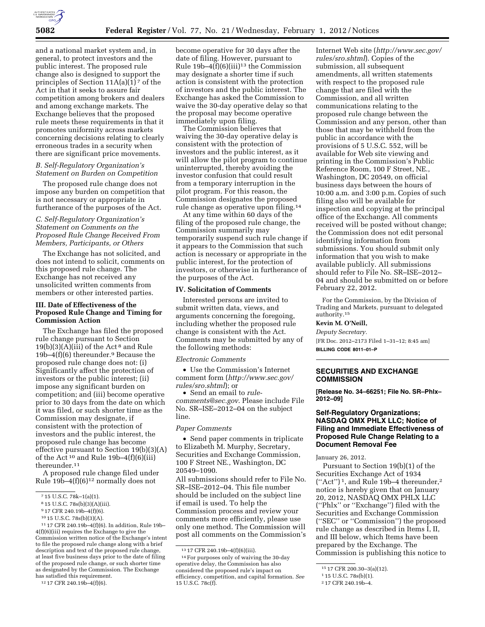

and a national market system and, in general, to protect investors and the public interest. The proposed rule change also is designed to support the principles of Section  $11A(a)(1)^7$  of the Act in that it seeks to assure fair competition among brokers and dealers and among exchange markets. The Exchange believes that the proposed rule meets these requirements in that it promotes uniformity across markets concerning decisions relating to clearly erroneous trades in a security when there are significant price movements.

## *B. Self-Regulatory Organization's Statement on Burden on Competition*

The proposed rule change does not impose any burden on competition that is not necessary or appropriate in furtherance of the purposes of the Act.

## *C. Self-Regulatory Organization's Statement on Comments on the Proposed Rule Change Received From Members, Participants, or Others*

The Exchange has not solicited, and does not intend to solicit, comments on this proposed rule change. The Exchange has not received any unsolicited written comments from members or other interested parties.

## **III. Date of Effectiveness of the Proposed Rule Change and Timing for Commission Action**

The Exchange has filed the proposed rule change pursuant to Section  $19(b)(3)(A)(iii)$  of the Act<sup>8</sup> and Rule 19b–4(f)(6) thereunder.9 Because the proposed rule change does not: (i) Significantly affect the protection of investors or the public interest; (ii) impose any significant burden on competition; and (iii) become operative prior to 30 days from the date on which it was filed, or such shorter time as the Commission may designate, if consistent with the protection of investors and the public interest, the proposed rule change has become effective pursuant to Section 19(b)(3)(A) of the Act 10 and Rule 19b–4(f)(6)(iii) thereunder.11

A proposed rule change filed under Rule  $19b-4(f)(6)^{12}$  normally does not

11 17 CFR 240.19b–4(f)(6). In addition, Rule 19b– 4(f)(6)(iii) requires the Exchange to give the Commission written notice of the Exchange's intent to file the proposed rule change along with a brief description and text of the proposed rule change, at least five business days prior to the date of filing of the proposed rule change, or such shorter time as designated by the Commission. The Exchange has satisfied this requirement.

become operative for 30 days after the date of filing. However, pursuant to Rule  $19b-4(f)(6)(iii)^{13}$  the Commission may designate a shorter time if such action is consistent with the protection of investors and the public interest. The Exchange has asked the Commission to waive the 30-day operative delay so that the proposal may become operative immediately upon filing.

The Commission believes that waiving the 30-day operative delay is consistent with the protection of investors and the public interest, as it will allow the pilot program to continue uninterrupted, thereby avoiding the investor confusion that could result from a temporary interruption in the pilot program. For this reason, the Commission designates the proposed rule change as operative upon filing.14

At any time within 60 days of the filing of the proposed rule change, the Commission summarily may temporarily suspend such rule change if it appears to the Commission that such action is necessary or appropriate in the public interest, for the protection of investors, or otherwise in furtherance of the purposes of the Act.

#### **IV. Solicitation of Comments**

Interested persons are invited to submit written data, views, and arguments concerning the foregoing, including whether the proposed rule change is consistent with the Act. Comments may be submitted by any of the following methods:

*Electronic Comments* 

• Use the Commission's Internet comment form (*[http://www.sec.gov/](http://www.sec.gov/rules/sro.shtml)  [rules/sro.shtml](http://www.sec.gov/rules/sro.shtml)*); or

• Send an email to *[rule](mailto:rule-comments@sec.gov)[comments@sec.gov](mailto:rule-comments@sec.gov)*. Please include File No. SR–ISE–2012–04 on the subject line.

#### *Paper Comments*

• Send paper comments in triplicate to Elizabeth M. Murphy, Secretary, Securities and Exchange Commission, 100 F Street NE., Washington, DC 20549–1090.

All submissions should refer to File No. SR–ISE–2012–04. This file number should be included on the subject line if email is used. To help the Commission process and review your comments more efficiently, please use only one method. The Commission will post all comments on the Commission's Internet Web site (*[http://www.sec.gov/](http://www.sec.gov/rules/sro.shtml)  [rules/sro.shtml](http://www.sec.gov/rules/sro.shtml)*). Copies of the submission, all subsequent amendments, all written statements with respect to the proposed rule change that are filed with the Commission, and all written communications relating to the proposed rule change between the Commission and any person, other than those that may be withheld from the public in accordance with the provisions of 5 U.S.C. 552, will be available for Web site viewing and printing in the Commission's Public Reference Room, 100 F Street, NE., Washington, DC 20549, on official business days between the hours of 10:00 a.m. and 3:00 p.m. Copies of such filing also will be available for inspection and copying at the principal office of the Exchange. All comments received will be posted without change; the Commission does not edit personal identifying information from submissions. You should submit only information that you wish to make available publicly. All submissions should refer to File No. SR–ISE–2012– 04 and should be submitted on or before February 22, 2012.

For the Commission, by the Division of Trading and Markets, pursuant to delegated authority.15

### **Kevin M. O'Neill,**

*Deputy Secretary.*  [FR Doc. 2012–2173 Filed 1–31–12; 8:45 am] **BILLING CODE 8011–01–P** 

# **SECURITIES AND EXCHANGE COMMISSION**

**[Release No. 34–66251; File No. SR–Phlx– 2012–09]** 

## **Self-Regulatory Organizations; NASDAQ OMX PHLX LLC; Notice of Filing and Immediate Effectiveness of Proposed Rule Change Relating to a Document Removal Fee**

January 26, 2012.

Pursuant to Section 19(b)(1) of the Securities Exchange Act of 1934 ("Act")<sup>1</sup>, and Rule 19b-4 thereunder,<sup>2</sup> notice is hereby given that on January 20, 2012, NASDAQ OMX PHLX LLC (''Phlx'' or ''Exchange'') filed with the Securities and Exchange Commission (''SEC'' or ''Commission'') the proposed rule change as described in Items I, II, and III below, which Items have been prepared by the Exchange. The Commission is publishing this notice to

<sup>7</sup> 15 U.S.C. 78k–1(a)(1).

<sup>8</sup> 15 U.S.C. 78s(b)(3)(A)(iii).

<sup>9</sup> 17 CFR 240.19b–4(f)(6).

<sup>10</sup> 15 U.S.C. 78s(b)(3)(A).

<sup>12</sup> 17 CFR 240.19b–4(f)(6).

<sup>13</sup> 17 CFR 240.19b–4(f)(6)(iii).

<sup>14</sup>For purposes only of waiving the 30-day operative delay, the Commission has also considered the proposed rule's impact on efficiency, competition, and capital formation. *See*  15 U.S.C. 78c(f).

<sup>15</sup> 17 CFR 200.30–3(a)(12).

<sup>1</sup> 15 U.S.C. 78s(b)(1).

<sup>2</sup> 17 CFR 240.19b–4.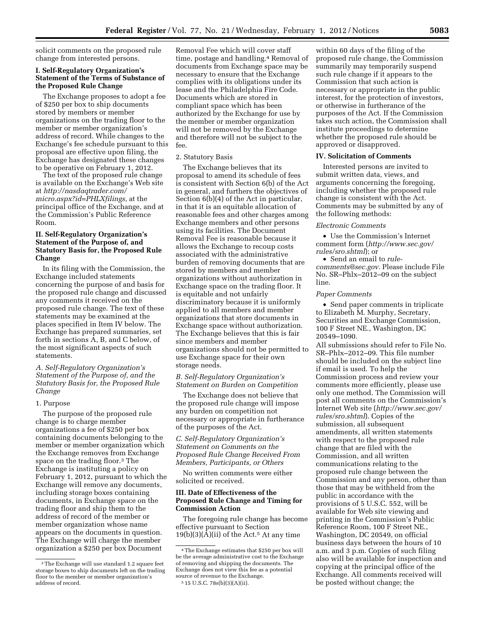solicit comments on the proposed rule change from interested persons.

### **I. Self-Regulatory Organization's Statement of the Terms of Substance of the Proposed Rule Change**

The Exchange proposes to adopt a fee of \$250 per box to ship documents stored by members or member organizations on the trading floor to the member or member organization's address of record. While changes to the Exchange's fee schedule pursuant to this proposal are effective upon filing, the Exchange has designated these changes to be operative on February 1, 2012.

The text of the proposed rule change is available on the Exchange's Web site at *[http://nasdaqtrader.com/](http://nasdaqtrader.com/micro.aspx?id=PHLXfilings)  [micro.aspx?id=PHLXfilings,](http://nasdaqtrader.com/micro.aspx?id=PHLXfilings)* at the principal office of the Exchange, and at the Commission's Public Reference Room.

## **II. Self-Regulatory Organization's Statement of the Purpose of, and Statutory Basis for, the Proposed Rule Change**

In its filing with the Commission, the Exchange included statements concerning the purpose of and basis for the proposed rule change and discussed any comments it received on the proposed rule change. The text of these statements may be examined at the places specified in Item IV below. The Exchange has prepared summaries, set forth in sections A, B, and C below, of the most significant aspects of such statements.

*A. Self-Regulatory Organization's Statement of the Purpose of, and the Statutory Basis for, the Proposed Rule Change* 

### 1. Purpose

The purpose of the proposed rule change is to charge member organizations a fee of \$250 per box containing documents belonging to the member or member organization which the Exchange removes from Exchange space on the trading floor.<sup>3</sup> The Exchange is instituting a policy on February 1, 2012, pursuant to which the Exchange will remove any documents, including storage boxes containing documents, in Exchange space on the trading floor and ship them to the address of record of the member or member organization whose name appears on the documents in question. The Exchange will charge the member organization a \$250 per box Document

Removal Fee which will cover staff time, postage and handling.4 Removal of documents from Exchange space may be necessary to ensure that the Exchange complies with its obligations under its lease and the Philadelphia Fire Code. Documents which are stored in compliant space which has been authorized by the Exchange for use by the member or member organization will not be removed by the Exchange and therefore will not be subject to the fee.

#### 2. Statutory Basis

The Exchange believes that its proposal to amend its schedule of fees is consistent with Section 6(b) of the Act in general, and furthers the objectives of Section 6(b)(4) of the Act in particular, in that it is an equitable allocation of reasonable fees and other charges among Exchange members and other persons using its facilities. The Document Removal Fee is reasonable because it allows the Exchange to recoup costs associated with the administrative burden of removing documents that are stored by members and member organizations without authorization in Exchange space on the trading floor. It is equitable and not unfairly discriminatory because it is uniformly applied to all members and member organizations that store documents in Exchange space without authorization. The Exchange believes that this is fair since members and member organizations should not be permitted to use Exchange space for their own storage needs.

## *B. Self-Regulatory Organization's Statement on Burden on Competition*

The Exchange does not believe that the proposed rule change will impose any burden on competition not necessary or appropriate in furtherance of the purposes of the Act.

# *C. Self-Regulatory Organization's Statement on Comments on the Proposed Rule Change Received From Members, Participants, or Others*

No written comments were either solicited or received.

#### **III. Date of Effectiveness of the Proposed Rule Change and Timing for Commission Action**

The foregoing rule change has become effective pursuant to Section  $19(b)(3)(A)(ii)$  of the Act.<sup>5</sup> At any time

within 60 days of the filing of the proposed rule change, the Commission summarily may temporarily suspend such rule change if it appears to the Commission that such action is necessary or appropriate in the public interest, for the protection of investors, or otherwise in furtherance of the purposes of the Act. If the Commission takes such action, the Commission shall institute proceedings to determine whether the proposed rule should be approved or disapproved.

#### **IV. Solicitation of Comments**

Interested persons are invited to submit written data, views, and arguments concerning the foregoing, including whether the proposed rule change is consistent with the Act. Comments may be submitted by any of the following methods:

#### *Electronic Comments*

• Use the Commission's Internet comment form (*[http://www.sec.gov/](http://www.sec.gov/rules/sro.shtml)  [rules/sro.shtml](http://www.sec.gov/rules/sro.shtml)*); or

• Send an email to *[rule](mailto:rule-comments@sec.gov)[comments@sec.gov.](mailto:rule-comments@sec.gov)* Please include File No. SR–Phlx–2012–09 on the subject line.

#### *Paper Comments*

• Send paper comments in triplicate to Elizabeth M. Murphy, Secretary, Securities and Exchange Commission, 100 F Street NE., Washington, DC 20549–1090.

All submissions should refer to File No. SR–Phlx–2012–09. This file number should be included on the subject line if email is used. To help the Commission process and review your comments more efficiently, please use only one method. The Commission will post all comments on the Commission's Internet Web site (*[http://www.sec.gov/](http://www.sec.gov/rules/sro.shtml)  [rules/sro.shtml](http://www.sec.gov/rules/sro.shtml)*). Copies of the submission, all subsequent amendments, all written statements with respect to the proposed rule change that are filed with the Commission, and all written communications relating to the proposed rule change between the Commission and any person, other than those that may be withheld from the public in accordance with the provisions of 5 U.S.C. 552, will be available for Web site viewing and printing in the Commission's Public Reference Room, 100 F Street NE., Washington, DC 20549, on official business days between the hours of 10 a.m. and 3 p.m. Copies of such filing also will be available for inspection and copying at the principal office of the Exchange. All comments received will be posted without change; the

<sup>3</sup>The Exchange will use standard 1.2 square feet storage boxes to ship documents left on the trading floor to the member or member organization's address of record.

<sup>4</sup>The Exchange estimates that \$250 per box will be the average administrative cost to the Exchange of removing and shipping the documents. The Exchange does not view this fee as a potential source of revenue to the Exchange. 5 15 U.S.C. 78s(b)(3)(A)(ii).